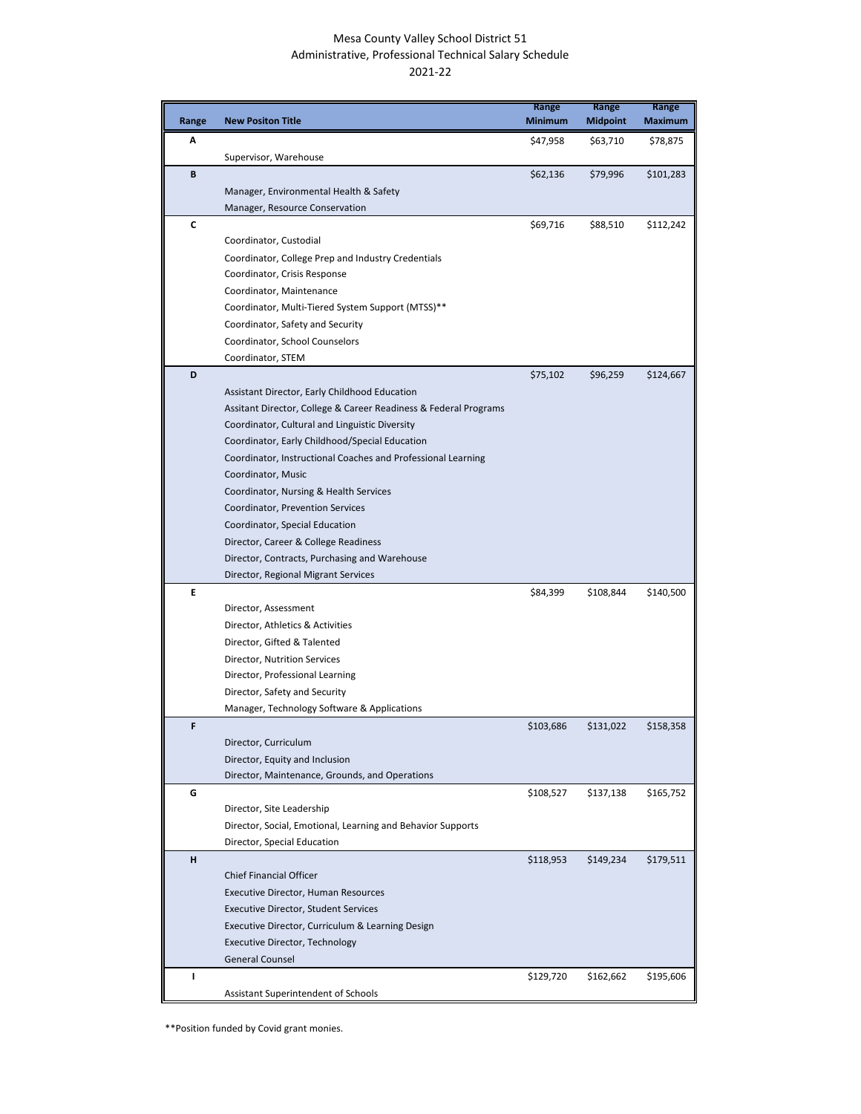## Mesa County Valley School District 51 Administrative, Professional Technical Salary Schedule 2021-22

|       |                                                                                    | Range          | Range           | Range          |
|-------|------------------------------------------------------------------------------------|----------------|-----------------|----------------|
| Range | <b>New Positon Title</b>                                                           | <b>Minimum</b> | <b>Midpoint</b> | <b>Maximum</b> |
| А     |                                                                                    | \$47,958       | \$63,710        | \$78,875       |
|       | Supervisor, Warehouse                                                              |                |                 |                |
| B     |                                                                                    | \$62,136       | \$79,996        | \$101,283      |
|       | Manager, Environmental Health & Safety                                             |                |                 |                |
|       | Manager, Resource Conservation                                                     |                |                 |                |
| C     |                                                                                    | \$69,716       | \$88,510        | \$112,242      |
|       | Coordinator, Custodial                                                             |                |                 |                |
|       | Coordinator, College Prep and Industry Credentials<br>Coordinator, Crisis Response |                |                 |                |
|       | Coordinator, Maintenance                                                           |                |                 |                |
|       | Coordinator, Multi-Tiered System Support (MTSS)**                                  |                |                 |                |
|       | Coordinator, Safety and Security                                                   |                |                 |                |
|       | Coordinator, School Counselors                                                     |                |                 |                |
|       | Coordinator, STEM                                                                  |                |                 |                |
| D     |                                                                                    | \$75,102       | \$96,259        | \$124,667      |
|       | Assistant Director, Early Childhood Education                                      |                |                 |                |
|       | Assitant Director, College & Career Readiness & Federal Programs                   |                |                 |                |
|       | Coordinator, Cultural and Linguistic Diversity                                     |                |                 |                |
|       | Coordinator, Early Childhood/Special Education                                     |                |                 |                |
|       | Coordinator, Instructional Coaches and Professional Learning                       |                |                 |                |
|       | Coordinator, Music                                                                 |                |                 |                |
|       | Coordinator, Nursing & Health Services                                             |                |                 |                |
|       | Coordinator, Prevention Services                                                   |                |                 |                |
|       | Coordinator, Special Education                                                     |                |                 |                |
|       | Director, Career & College Readiness                                               |                |                 |                |
|       | Director, Contracts, Purchasing and Warehouse                                      |                |                 |                |
|       | Director, Regional Migrant Services                                                |                |                 |                |
| E     |                                                                                    | \$84,399       | \$108,844       | \$140,500      |
|       | Director, Assessment                                                               |                |                 |                |
|       | Director, Athletics & Activities                                                   |                |                 |                |
|       | Director, Gifted & Talented                                                        |                |                 |                |
|       | Director, Nutrition Services                                                       |                |                 |                |
|       | Director, Professional Learning                                                    |                |                 |                |
|       | Director, Safety and Security                                                      |                |                 |                |
|       | Manager, Technology Software & Applications                                        |                |                 |                |
| F     |                                                                                    | \$103,686      | \$131,022       | \$158,358      |
|       | Director, Curriculum<br>Director, Equity and Inclusion                             |                |                 |                |
|       | Director, Maintenance, Grounds, and Operations                                     |                |                 |                |
| G     |                                                                                    | \$108,527      | \$137,138       | \$165,752      |
|       | Director, Site Leadership                                                          |                |                 |                |
|       | Director, Social, Emotional, Learning and Behavior Supports                        |                |                 |                |
|       | Director, Special Education                                                        |                |                 |                |
| н     |                                                                                    | \$118,953      | \$149,234       | \$179,511      |
|       | <b>Chief Financial Officer</b>                                                     |                |                 |                |
|       | <b>Executive Director, Human Resources</b>                                         |                |                 |                |
|       | <b>Executive Director, Student Services</b>                                        |                |                 |                |
|       | Executive Director, Curriculum & Learning Design                                   |                |                 |                |
|       | Executive Director, Technology                                                     |                |                 |                |
|       | <b>General Counsel</b>                                                             |                |                 |                |
| I.    |                                                                                    | \$129,720      | \$162,662       | \$195,606      |
|       | Assistant Superintendent of Schools                                                |                |                 |                |

\*\*Position funded by Covid grant monies.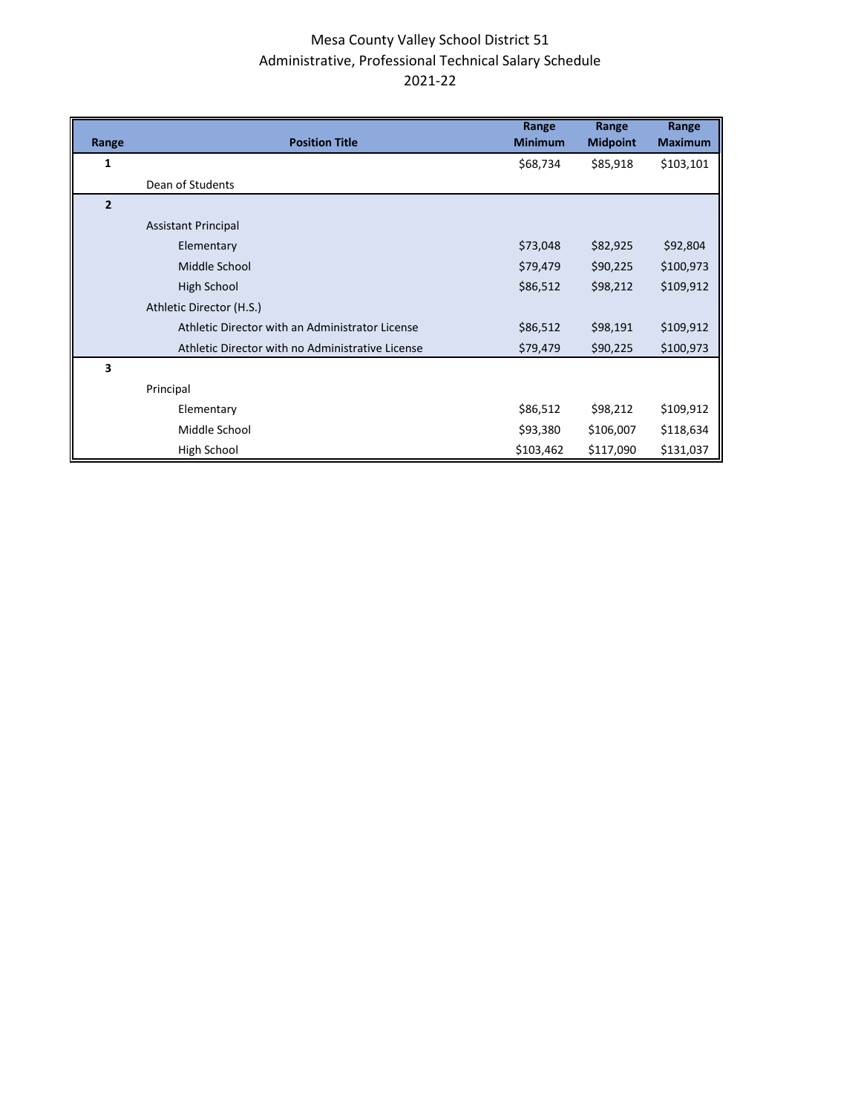## Mesa County Valley School District 51 Administrative, Professional Technical Salary Schedule 2021-22

|                |                                                  | Range          | Range           | Range          |
|----------------|--------------------------------------------------|----------------|-----------------|----------------|
| Range          | <b>Position Title</b>                            | <b>Minimum</b> | <b>Midpoint</b> | <b>Maximum</b> |
| 1              |                                                  | \$68,734       | \$85,918        | \$103,101      |
|                | Dean of Students                                 |                |                 |                |
| $\overline{2}$ |                                                  |                |                 |                |
|                | <b>Assistant Principal</b>                       |                |                 |                |
|                | Elementary                                       | \$73,048       | \$82,925        | \$92,804       |
|                | Middle School                                    | \$79,479       | \$90,225        | \$100,973      |
|                | High School                                      | \$86,512       | \$98,212        | \$109,912      |
|                | Athletic Director (H.S.)                         |                |                 |                |
|                | Athletic Director with an Administrator License  | \$86,512       | \$98,191        | \$109,912      |
|                | Athletic Director with no Administrative License | \$79,479       | \$90,225        | \$100,973      |
| 3              |                                                  |                |                 |                |
|                | Principal                                        |                |                 |                |
|                | Elementary                                       | \$86,512       | \$98,212        | \$109,912      |
|                | Middle School                                    | \$93,380       | \$106,007       | \$118,634      |
|                | High School                                      | \$103,462      | \$117,090       | \$131,037      |